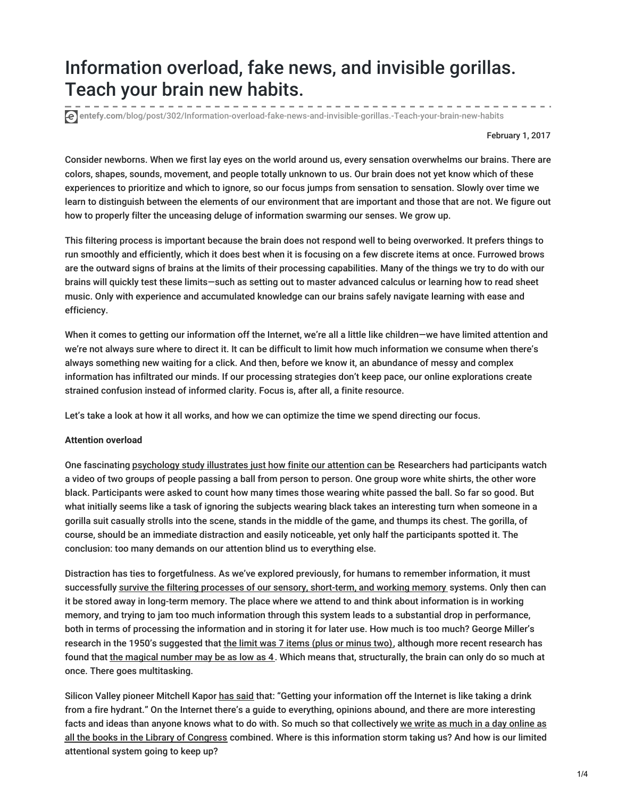# Information overload, fake news, and invisible gorillas. Teach your brain new habits.

**entefy.com**[/blog/post/302/Information-overload-fake-news-and-invisible-gorillas.-Teach-your-brain-new-habits](https://www.entefy.com/blog/post/302/Information-overload-fake-news-and-invisible-gorillas.-Teach-your-brain-new-habits)

February 1, 2017

Consider newborns. When we first lay eyes on the world around us, every sensation overwhelms our brains. There are colors, shapes, sounds, movement, and people totally unknown to us. Our brain does not yet know which of these experiences to prioritize and which to ignore, so our focus jumps from sensation to sensation. Slowly over time we learn to distinguish between the elements of our environment that are important and those that are not. We figure out how to properly filter the unceasing deluge of information swarming our senses. We grow up.

This filtering process is important because the brain does not respond well to being overworked. It prefers things to run smoothly and efficiently, which it does best when it is focusing on a few discrete items at once. Furrowed brows are the outward signs of brains at the limits of their processing capabilities. Many of the things we try to do with our brains will quickly test these limits—such as setting out to master advanced calculus or learning how to read sheet music. Only with experience and accumulated knowledge can our brains safely navigate learning with ease and efficiency.

When it comes to getting our information off the Internet, we're all a little like children—we have limited attention and we're not always sure where to direct it. It can be difficult to limit how much information we consume when there's always something new waiting for a click. And then, before we know it, an abundance of messy and complex information has infiltrated our minds. If our processing strategies don't keep pace, our online explorations create strained confusion instead of informed clarity. Focus is, after all, a finite resource.

Let's take a look at how it all works, and how we can optimize the time we spend directing our focus.

#### **Attention overload**

One fascinating [psychology](http://theinvisiblegorilla.com/gorilla_experiment.html) study illustrates just how finite our attention can be. Researchers had participants watch a video of two groups of people passing a ball from person to person. One group wore white shirts, the other wore black. Participants were asked to count how many times those wearing white passed the ball. So far so good. But what initially seems like a task of ignoring the subjects wearing black takes an interesting turn when someone in a gorilla suit casually strolls into the scene, stands in the middle of the game, and thumps its chest. The gorilla, of course, should be an immediate distraction and easily noticeable, yet only half the participants spotted it. The conclusion: too many demands on our attention blind us to everything else.

Distraction has ties to forgetfulness. As we've explored previously, for humans to remember information, it must successfully survive the filtering processes of our sensory, [short-term,](https://blog.entefy.com/view/292/Inattention-The-brains-complex-relationship-with-social-media) and working memory systems. Only then can it be stored away in long-term memory. The place where we attend to and think about information is in working memory, and trying to jam too much information through this system leads to a substantial drop in performance, both in terms of processing the information and in storing it for later use. How much is too much? George Miller's research in the 1950's suggested that the limit was 7 items (plus or [minus](https://blog.entefy.com/view/233/Magic-number-7-more-or-less) two), although more recent research has found that the [magical](https://www.cambridge.org/core/journals/behavioral-and-brain-sciences/article/div-classtitlethe-magical-number-4-in-short-term-memory-a-reconsideration-of-mental-storage-capacitydiv/44023F1147D4A1D44BDC0AD226838496) number may be as low as 4. Which means that, structurally, the brain can only do so much at once. There goes multitasking.

Silicon Valley pioneer Mitchell Kapor has [said](https://books.google.com/books?id=tBRRBAAAQBAJ&lpg=PA69&ots=3vNLOe6OQw&dq=mitchell kapor fire hydrant&pg=PA69#v=onepage&q&f=false) that: "Getting your information off the Internet is like taking a drink from a fire hydrant." On the Internet there's a guide to everything, opinions abound, and there are more interesting facts and ideas than anyone knows what to do with. So much so that collectively we write as much in a day online as all the books in the Library of Congress combined. Where is this [information](https://blog.entefy.com/view/238/We-write-as-much-in-a-day-online-as-all-the-books-in-the-Library-of-Congress-combined) storm taking us? And how is our limited attentional system going to keep up?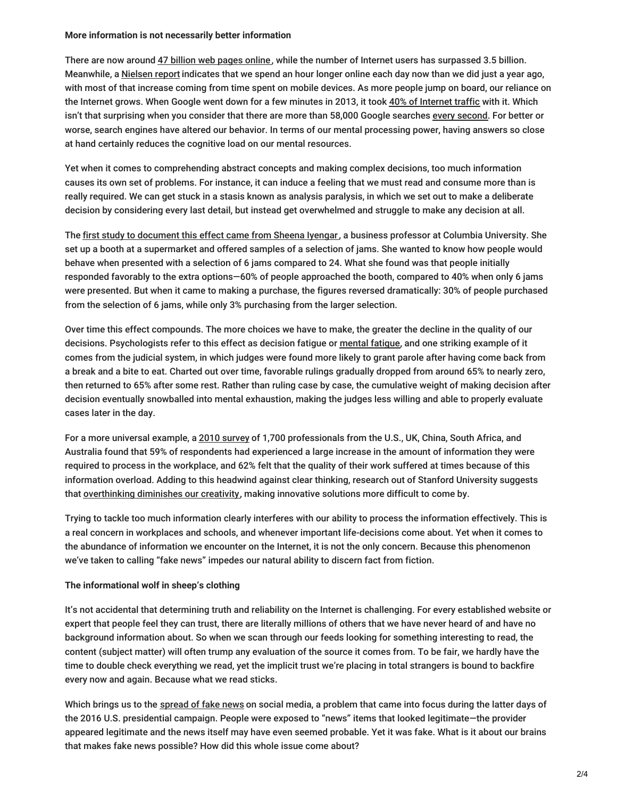#### **More information is not necessarily better information**

There are now around 47 billion web [pages](https://blog.entefy.com/view/279/How-many-pages-to-print-the-Internet) online, while the number of Internet users has surpassed 3.5 billion. Meanwhile, a [Nielsen](http://www.adweek.com/tv-video/us-adults-consume-entire-hour-more-media-day-they-did-just-last-year-172218/) report indicates that we spend an hour longer online each day now than we did just a year ago, with most of that increase coming from time spent on mobile devices. As more people jump on board, our reliance on the Internet grows. When Google went down for a few minutes in 2013, it took 40% of [Internet](https://engineering.gosquared.com/googles-downtime-40-drop-in-traffic) traffic with it. Which isn't that surprising when you consider that there are more than 58,000 Google searches every [second](http://www.internetlivestats.com/). For better or worse, search engines have altered our behavior. In terms of our mental processing power, having answers so close at hand certainly reduces the cognitive load on our mental resources.

Yet when it comes to comprehending abstract concepts and making complex decisions, too much information causes its own set of problems. For instance, it can induce a feeling that we must read and consume more than is really required. We can get stuck in a stasis known as analysis paralysis, in which we set out to make a deliberate decision by considering every last detail, but instead get overwhelmed and struggle to make any decision at all.

The first study to [document](https://faculty.washington.edu/jdb/345/345 Articles/Iyengar %26 Lepper (2000).pdf) this effect came from Sheena Iyengar, a business professor at Columbia University. She set up a booth at a supermarket and offered samples of a selection of jams. She wanted to know how people would behave when presented with a selection of 6 jams compared to 24. What she found was that people initially responded favorably to the extra options—60% of people approached the booth, compared to 40% when only 6 jams were presented. But when it came to making a purchase, the figures reversed dramatically: 30% of people purchased from the selection of 6 jams, while only 3% purchasing from the larger selection.

Over time this effect compounds. The more choices we have to make, the greater the decline in the quality of our decisions. Psychologists refer to this effect as decision fatigue or [mental](http://www.pnas.org/content/108/17/6889.full.pdf) fatigue, and one striking example of it comes from the judicial system, in which judges were found more likely to grant parole after having come back from a break and a bite to eat. Charted out over time, favorable rulings gradually dropped from around 65% to nearly zero, then returned to 65% after some rest. Rather than ruling case by case, the cumulative weight of making decision after decision eventually snowballed into mental exhaustion, making the judges less willing and able to properly evaluate cases later in the day.

For a more universal example, a 2010 [survey](http://www.lexisnexis.com/en-us/about-us/media/press-release.page?id=128751276114739) of 1,700 professionals from the U.S., UK, China, South Africa, and Australia found that 59% of respondents had experienced a large increase in the amount of information they were required to process in the workplace, and 62% felt that the quality of their work suffered at times because of this information overload. Adding to this headwind against clear thinking, research out of Stanford University suggests that [overthinking](https://med.stanford.edu/news/all-news/2015/05/researchers-tie-unexpected-brain-structures-to-creativity.html) diminishes our creativity, making innovative solutions more difficult to come by.

Trying to tackle too much information clearly interferes with our ability to process the information effectively. This is a real concern in workplaces and schools, and whenever important life-decisions come about. Yet when it comes to the abundance of information we encounter on the Internet, it is not the only concern. Because this phenomenon we've taken to calling "fake news" impedes our natural ability to discern fact from fiction.

## **The informational wolf in sheep's clothing**

It's not accidental that determining truth and reliability on the Internet is challenging. For every established website or expert that people feel they can trust, there are literally millions of others that we have never heard of and have no background information about. So when we scan through our feeds looking for something interesting to read, the content (subject matter) will often trump any evaluation of the source it comes from. To be fair, we hardly have the time to double check everything we read, yet the implicit trust we're placing in total strangers is bound to backfire every now and again. Because what we read sticks.

Which brings us to the [spread](http://www.bbc.com/news/technology-38106131) of fake news on social media, a problem that came into focus during the latter days of the 2016 U.S. presidential campaign. People were exposed to "news" items that looked legitimate—the provider appeared legitimate and the news itself may have even seemed probable. Yet it was fake. What is it about our brains that makes fake news possible? How did this whole issue come about?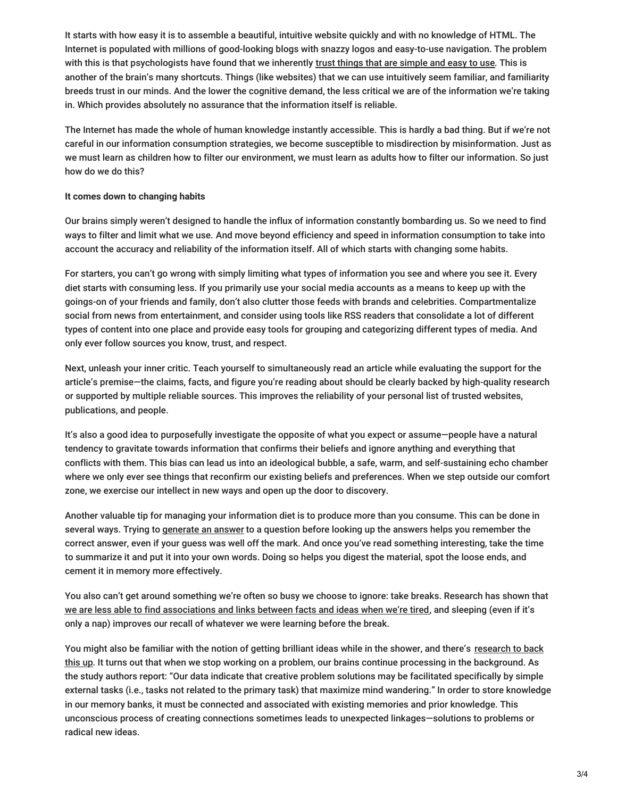It starts with how easy it is to assemble a beautiful, intuitive website quickly and with no knowledge of HTML. The Internet is populated with millions of good-looking blogs with snazzy logos and easy-to-use navigation. The problem with this is that psychologists have found that we inherently trust things that are [simple](https://dx.doi.org/10.1037%252F0278-7393.19.6.1235) and easy to use. This is another of the brain's many shortcuts. Things (like websites) that we can use intuitively seem familiar, and familiarity breeds trust in our minds. And the lower the cognitive demand, the less critical we are of the information we're taking in. Which provides absolutely no assurance that the information itself is reliable.

The Internet has made the whole of human knowledge instantly accessible. This is hardly a bad thing. But if we're not careful in our information consumption strategies, we become susceptible to misdirection by misinformation. Just as we must learn as children how to filter our environment, we must learn as adults how to filter our information. So just how do we do this?

### **It comes down to changing habits**

Our brains simply weren't designed to handle the influx of information constantly bombarding us. So we need to find ways to filter and limit what we use. And move beyond efficiency and speed in information consumption to take into account the accuracy and reliability of the information itself. All of which starts with changing some habits.

For starters, you can't go wrong with simply limiting what types of information you see and where you see it. Every diet starts with consuming less. If you primarily use your social media accounts as a means to keep up with the goings-on of your friends and family, don't also clutter those feeds with brands and celebrities. Compartmentalize social from news from entertainment, and consider using tools like RSS readers that consolidate a lot of different types of content into one place and provide easy tools for grouping and categorizing different types of media. And only ever follow sources you know, trust, and respect.

Next, unleash your inner critic. Teach yourself to simultaneously read an article while evaluating the support for the article's premise—the claims, facts, and figure you're reading about should be clearly backed by high-quality research or supported by multiple reliable sources. This improves the reliability of your personal list of trusted websites, publications, and people.

It's also a good idea to purposefully investigate the opposite of what you expect or assume—people have a natural tendency to gravitate towards information that confirms their beliefs and ignore anything and everything that conflicts with them. This bias can lead us into an ideological bubble, a safe, warm, and self-sustaining echo chamber where we only ever see things that reconfirm our existing beliefs and preferences. When we step outside our comfort zone, we exercise our intellect in new ways and open up the door to discovery.

Another valuable tip for managing your information diet is to produce more than you consume. This can be done in several ways. Trying to [generate](https://www.ncbi.nlm.nih.gov/pubmed/19586265) an answer to a question before looking up the answers helps you remember the correct answer, even if your guess was well off the mark. And once you've read something interesting, take the time to summarize it and put it into your own words. Doing so helps you digest the material, spot the loose ends, and cement it in memory more effectively.

You also can't get around something we're often so busy we choose to ignore: take breaks. Research has shown that we are less able to find [associations](https://www.scientificamerican.com/article/mental-downtime/) and links between facts and ideas when we're tired, and sleeping (even if it's only a nap) improves our recall of whatever we were learning before the break.

You might also be familiar with the notion of getting brilliant ideas while in the shower, and there's research to back this up. It turns out that when we stop working on a problem, our brains continue processing in the [background.](https://www.researchgate.net/publication/230786381_Inspired_by_Distraction_Mind_Wandering_Facilitates_Creative_Incubation?enrichId=rgreq-0dcc80f43ff50145f83d8512ce2d8e55-XXX&enrichSource=Y292ZXJQYWdlOzIzMDc4NjM4MTtBUzo5OTEwMTE2MTAzMzc0NEAxNDAwNjM4) As the study authors report: "Our data indicate that creative problem solutions may be facilitated specifically by simple external tasks (i.e., tasks not related to the primary task) that maximize mind wandering." In order to store knowledge in our memory banks, it must be connected and associated with existing memories and prior knowledge. This unconscious process of creating connections sometimes leads to unexpected linkages—solutions to problems or radical new ideas.